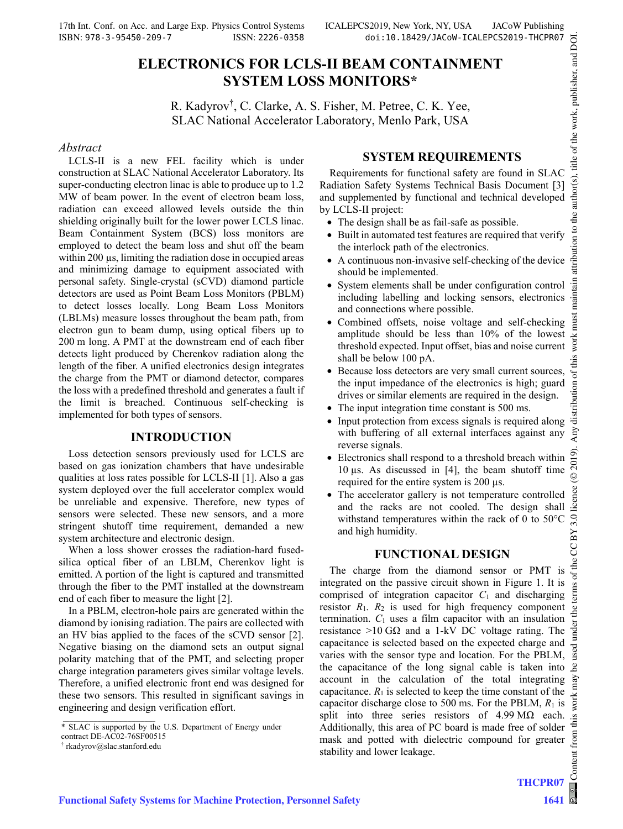# **ELECTRONICS FOR LCLS-II BEAM CONTAINMENT SYSTEM LOSS MONITORS\***

R. Kadyrov† , C. Clarke, A. S. Fisher, M. Petree, C. K. Yee, SLAC National Accelerator Laboratory, Menlo Park, USA

#### *Abstract*

LCLS-II is a new FEL facility which is under construction at SLAC National Accelerator Laboratory. Its super-conducting electron linac is able to produce up to 1.2 MW of beam power. In the event of electron beam loss, radiation can exceed allowed levels outside the thin shielding originally built for the lower power LCLS linac. Beam Containment System (BCS) loss monitors are employed to detect the beam loss and shut off the beam within 200  $\mu$ s, limiting the radiation dose in occupied areas and minimizing damage to equipment associated with personal safety. Single-crystal (sCVD) diamond particle detectors are used as Point Beam Loss Monitors (PBLM) to detect losses locally. Long Beam Loss Monitors (LBLMs) measure losses throughout the beam path, from electron gun to beam dump, using optical fibers up to 200 m long. A PMT at the downstream end of each fiber detects light produced by Cherenkov radiation along the length of the fiber. A unified electronics design integrates the charge from the PMT or diamond detector, compares the loss with a predefined threshold and generates a fault if the limit is breached. Continuous self-checking is implemented for both types of sensors.

#### **INTRODUCTION**

Loss detection sensors previously used for LCLS are based on gas ionization chambers that have undesirable qualities at loss rates possible for LCLS-II [1]. Also a gas system deployed over the full accelerator complex would be unreliable and expensive. Therefore, new types of sensors were selected. These new sensors, and a more stringent shutoff time requirement, demanded a new system architecture and electronic design.

When a loss shower crosses the radiation-hard fusedsilica optical fiber of an LBLM, Cherenkov light is emitted. A portion of the light is captured and transmitted through the fiber to the PMT installed at the downstream end of each fiber to measure the light [2].

In a PBLM, electron-hole pairs are generated within the diamond by ionising radiation. The pairs are collected with an HV bias applied to the faces of the sCVD sensor [2]. Negative biasing on the diamond sets an output signal polarity matching that of the PMT, and selecting proper charge integration parameters gives similar voltage levels. Therefore, a unified electronic front end was designed for these two sensors. This resulted in significant savings in engineering and design verification effort.

# **SYSTEM REQUIREMENTS**

Requirements for functional safety are found in SLAC Radiation Safety Systems Technical Basis Document [3] and supplemented by functional and technical developed by LCLS-II project:

- The design shall be as fail-safe as possible.
- Built in automated test features are required that verify the interlock path of the electronics.
- A continuous non-invasive self-checking of the device should be implemented.
- System elements shall be under configuration control including labelling and locking sensors, electronics and connections where possible.
- Combined offsets, noise voltage and self-checking amplitude should be less than 10% of the lowest threshold expected. Input offset, bias and noise current shall be below 100 pA.
- Because loss detectors are very small current sources, the input impedance of the electronics is high; guard drives or similar elements are required in the design.
- The input integration time constant is 500 ms.
- Input protection from excess signals is required along with buffering of all external interfaces against any reverse signals.
- Electronics shall respond to a threshold breach within 10 µs. As discussed in [4], the beam shutoff time required for the entire system is 200 µs.
- The accelerator gallery is not temperature controlled and the racks are not cooled. The design shall withstand temperatures within the rack of 0 to 50°C and high humidity.

# **FUNCTIONAL DESIGN**

The charge from the diamond sensor or PMT is integrated on the passive circuit shown in Figure 1. It is comprised of integration capacitor  $C_1$  and discharging resistor  $R_1$ .  $R_2$  is used for high frequency component termination.  $C_1$  uses a film capacitor with an insulation resistance >10 G $\Omega$  and a 1-kV DC voltage rating. The capacitance is selected based on the expected charge and varies with the sensor type and location. For the PBLM, the capacitance of the long signal cable is taken into  $\mathcal{B}$ account in the calculation of the total integrating capacitance.  $R_1$  is selected to keep the time constant of the capacitor discharge close to 500 ms. For the PBLM, *R*1 is split into three series resistors of  $4.99 \text{ M}\Omega$  each. Additionally, this area of PC board is made free of solder mask and potted with dielectric compound for greater stability and lower leakage.

<sup>\*</sup> SLAC is supported by the U.S. Department of Energy under

contract DE-AC02-76SF00515

<sup>†</sup> rkadyrov@slac.stanford.edu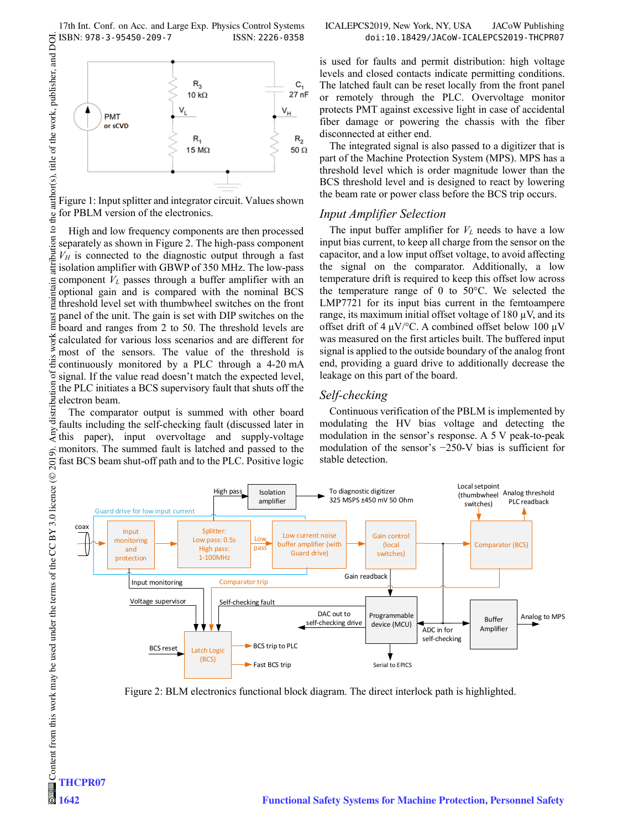17th Int. Conf. on Acc. and Large Exp. Physics Control Systems ICALEPCS2019, New York, NY, USA JACoW Publishing ISBN: 978-3-95450-209-7 ISSN: 2226-0358 doi:10.18429/JACoW-ICALEPCS2019-THCPR07



Figure 1: Input splitter and integrator circuit. Values shown for PBLM version of the electronics.

 $\mathbf{S}$ High and low frequency components are then processed ibution separately as shown in Figure 2. The high-pass component  $V_H$  is connected to the diagnostic output through a fast Ë isolation amplifier with GBWP of 350 MHz. The low-pass component *VL* passes through a buffer amplifier with an optional gain and is compared with the nominal BCS threshold level set with thumbwheel switches on the front panel of the unit. The gain is set with DIP switches on the board and ranges from 2 to 50. The threshold levels are  $\sum_{n=1}^{\infty}$  calculated for various loss scenarios and are different for  $\geq$  most of the sensors. The value of the threshold is most of the sensors. The value of the threshold is continuously monitored by a PLC through a 4-20 mA signal. If the value read doesn't match the expected level, the PLC initiates a BCS supervisory fault that shuts off the electron beam.

The comparator output is summed with other board faults including the self-checking fault (discussed later in this paper), input overvoltage and supply-voltage monitors. The summed fault is latched and passed to the fast BCS beam shut-off path and to the PLC. Positive logic

is used for faults and permit distribution: high voltage levels and closed contacts indicate permitting conditions. The latched fault can be reset locally from the front panel or remotely through the PLC. Overvoltage monitor protects PMT against excessive light in case of accidental fiber damage or powering the chassis with the fiber disconnected at either end.

The integrated signal is also passed to a digitizer that is part of the Machine Protection System (MPS). MPS has a threshold level which is order magnitude lower than the BCS threshold level and is designed to react by lowering the beam rate or power class before the BCS trip occurs.

#### *Input Amplifier Selection*

The input buffer amplifier for  $V_L$  needs to have a low input bias current, to keep all charge from the sensor on the capacitor, and a low input offset voltage, to avoid affecting the signal on the comparator. Additionally, a low temperature drift is required to keep this offset low across the temperature range of 0 to 50°C. We selected the LMP7721 for its input bias current in the femtoampere range, its maximum initial offset voltage of  $180 \mu V$ , and its offset drift of 4  $\mu$ V/°C. A combined offset below 100  $\mu$ V was measured on the first articles built. The buffered input signal is applied to the outside boundary of the analog front end, providing a guard drive to additionally decrease the leakage on this part of the board.

#### *Self-checking*

Continuous verification of the PBLM is implemented by modulating the HV bias voltage and detecting the modulation in the sensor's response. A 5 V peak-to-peak modulation of the sensor's −250-V bias is sufficient for stable detection.



Figure 2: BLM electronics functional block diagram. The direct interlock path is highlighted.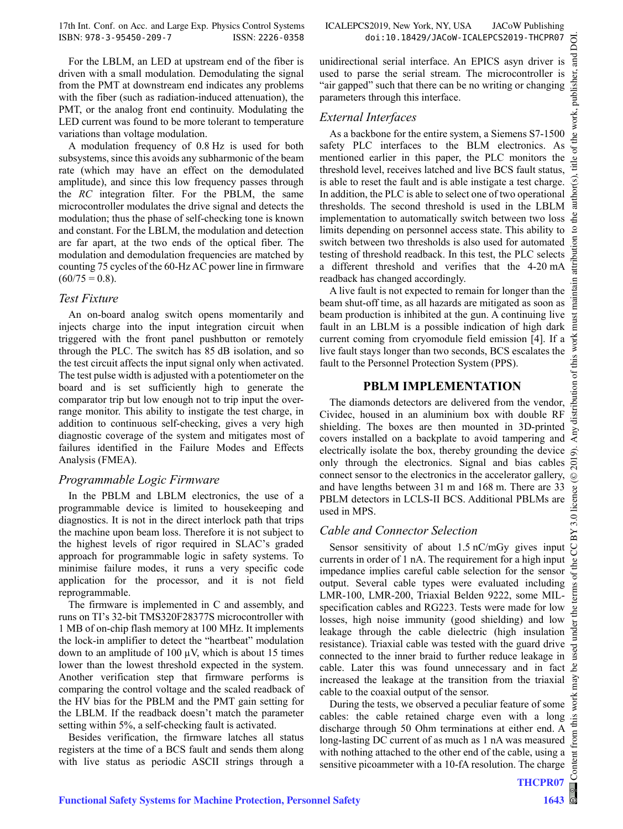For the LBLM, an LED at upstream end of the fiber is driven with a small modulation. Demodulating the signal from the PMT at downstream end indicates any problems with the fiber (such as radiation-induced attenuation), the PMT, or the analog front end continuity. Modulating the LED current was found to be more tolerant to temperature variations than voltage modulation.

A modulation frequency of 0.8 Hz is used for both subsystems, since this avoids any subharmonic of the beam rate (which may have an effect on the demodulated amplitude), and since this low frequency passes through the *RC* integration filter. For the PBLM, the same microcontroller modulates the drive signal and detects the modulation; thus the phase of self-checking tone is known and constant. For the LBLM, the modulation and detection are far apart, at the two ends of the optical fiber. The modulation and demodulation frequencies are matched by counting 75 cycles of the 60-Hz AC power line in firmware  $(60/75 = 0.8).$ 

### *Test Fixture*

An on-board analog switch opens momentarily and injects charge into the input integration circuit when triggered with the front panel pushbutton or remotely through the PLC. The switch has 85 dB isolation, and so the test circuit affects the input signal only when activated. The test pulse width is adjusted with a potentiometer on the board and is set sufficiently high to generate the comparator trip but low enough not to trip input the overrange monitor. This ability to instigate the test charge, in addition to continuous self-checking, gives a very high diagnostic coverage of the system and mitigates most of failures identified in the Failure Modes and Effects Analysis (FMEA).

## *Programmable Logic Firmware*

In the PBLM and LBLM electronics, the use of a programmable device is limited to housekeeping and diagnostics. It is not in the direct interlock path that trips the machine upon beam loss. Therefore it is not subject to the highest levels of rigor required in SLAC's graded approach for programmable logic in safety systems. To minimise failure modes, it runs a very specific code application for the processor, and it is not field reprogrammable.

The firmware is implemented in C and assembly, and runs on TI's 32-bit TMS320F28377S microcontroller with 1 MB of on-chip flash memory at 100 MHz. It implements the lock-in amplifier to detect the "heartbeat" modulation down to an amplitude of  $100 \mu V$ , which is about 15 times lower than the lowest threshold expected in the system. Another verification step that firmware performs is comparing the control voltage and the scaled readback of the HV bias for the PBLM and the PMT gain setting for the LBLM. If the readback doesn't match the parameter setting within 5%, a self-checking fault is activated.

Besides verification, the firmware latches all status registers at the time of a BCS fault and sends them along with live status as periodic ASCII strings through a parameters through this interface.

readback has changed accordingly.

fault to the Personnel Protection System (PPS).

*Cable and Connector Selection* 

cable to the coaxial output of the sensor.

sensitive picoammeter with a 10-fA resolution. The charge

**PBLM IMPLEMENTATION** 

*External Interfaces* 

DOI. 2019). Any distribution of this work must maintain attribution to the author(s), title of the work, publisher, and DOI.ਰੂ unidirectional serial interface. An EPICS asyn driver is used to parse the serial stream. The microcontroller is he work, publisher, "air gapped" such that there can be no writing or changing As a backbone for the entire system, a Siemens S7-1500 safety PLC interfaces to the BLM electronics. As  $le$  of t mentioned earlier in this paper, the PLC monitors the Ξ threshold level, receives latched and live BCS fault status, is able to reset the fault and is able instigate a test charge. author(s) In addition, the PLC is able to select one of two operational thresholds. The second threshold is used in the LBLM implementation to automatically switch between two loss limits depending on personnel access state. This ability to  $\alpha$ .g switch between two thresholds is also used for automated testing of threshold readback. In this test, the PLC selects a different threshold and verifies that the 4-20 mA attri intain A live fault is not expected to remain for longer than the ian<br>E beam shut-off time, as all hazards are mitigated as soon as beam production is inhibited at the gun. A continuing live **ist** fault in an LBLM is a possible indication of high dark Ē ry distribution of this work current coming from cryomodule field emission [4]. If a live fault stays longer than two seconds, BCS escalates the The diamonds detectors are delivered from the vendor, Cividec, housed in an aluminium box with double RF shielding. The boxes are then mounted in 3D-printed covers installed on a backplate to avoid tampering and electrically isolate the box, thereby grounding the device only through the electronics. Signal and bias cables  $\overline{5}$ connect sensor to the electronics in the accelerator gallery,  $\odot$ Content from this work may be used under the terms of the CC BY 3.0 licence ( $@$ and have lengths between 31 m and 168 m. There are 33 BY 3.0 licence PBLM detectors in LCLS-II BCS. Additional PBLMs are Sensor sensitivity of about 1.5 nC/mGy gives input g currents in order of 1 nA. The requirement for a high input he impedance implies careful cable selection for the sensor output. Several cable types were evaluated including LMR-100, LMR-200, Triaxial Belden 9222, some MILspecification cables and RG223. Tests were made for low the i losses, high noise immunity (good shielding) and low leakage through the cable dielectric (high insulation resistance). Triaxial cable was tested with the guard drive used connected to the inner braid to further reduce leakage in cable. Later this was found unnecessary and in fact ്ട് increased the leakage at the transition from the triaxial  $nay$  $\overline{\mathrm{S}}$ During the tests, we observed a peculiar feature of some cables: the cable retained charge even with a long discharge through 50 Ohm terminations at either end. A long-lasting DC current of as much as 1 nA was measured with nothing attached to the other end of the cable, using a Content

used in MPS.